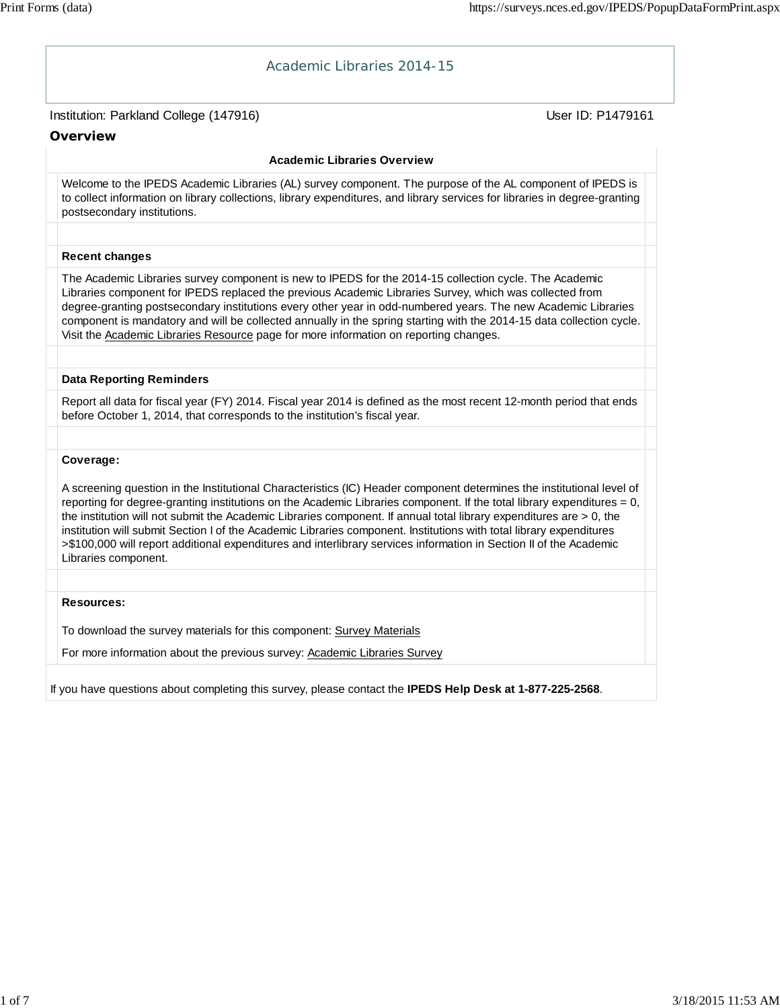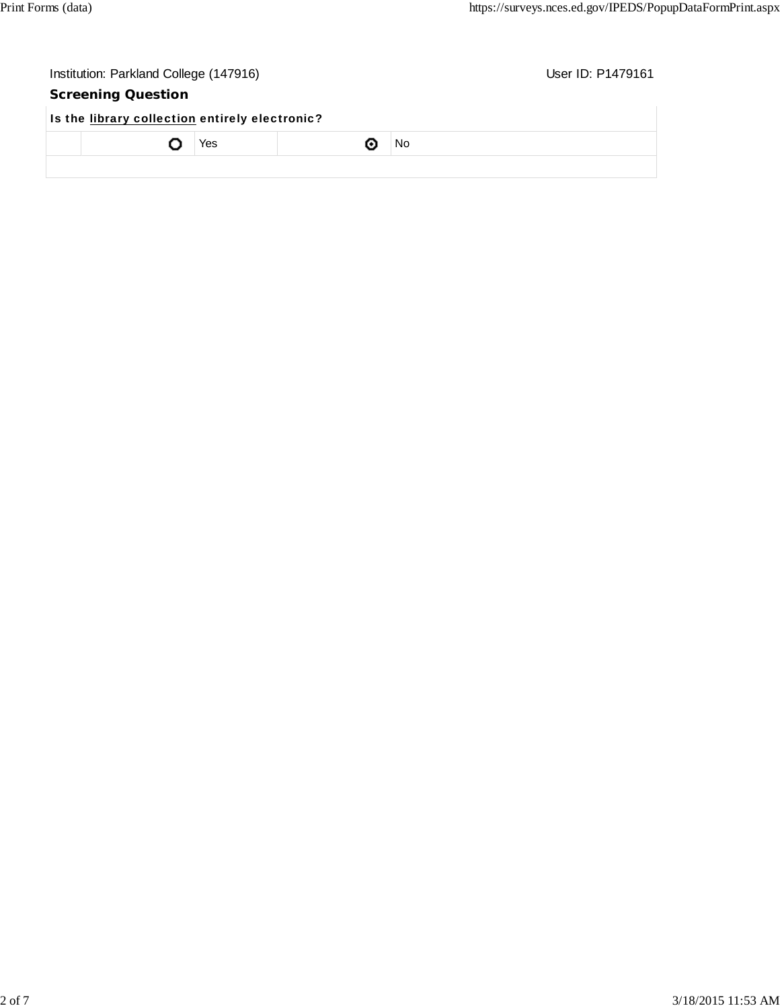| Institution: Parkland College (147916)         |     |  |     | User ID: P1479161 |  |
|------------------------------------------------|-----|--|-----|-------------------|--|
| <b>Screening Question</b>                      |     |  |     |                   |  |
| Is the library collection entirely electronic? |     |  |     |                   |  |
|                                                | Yes |  | No. |                   |  |
|                                                |     |  |     |                   |  |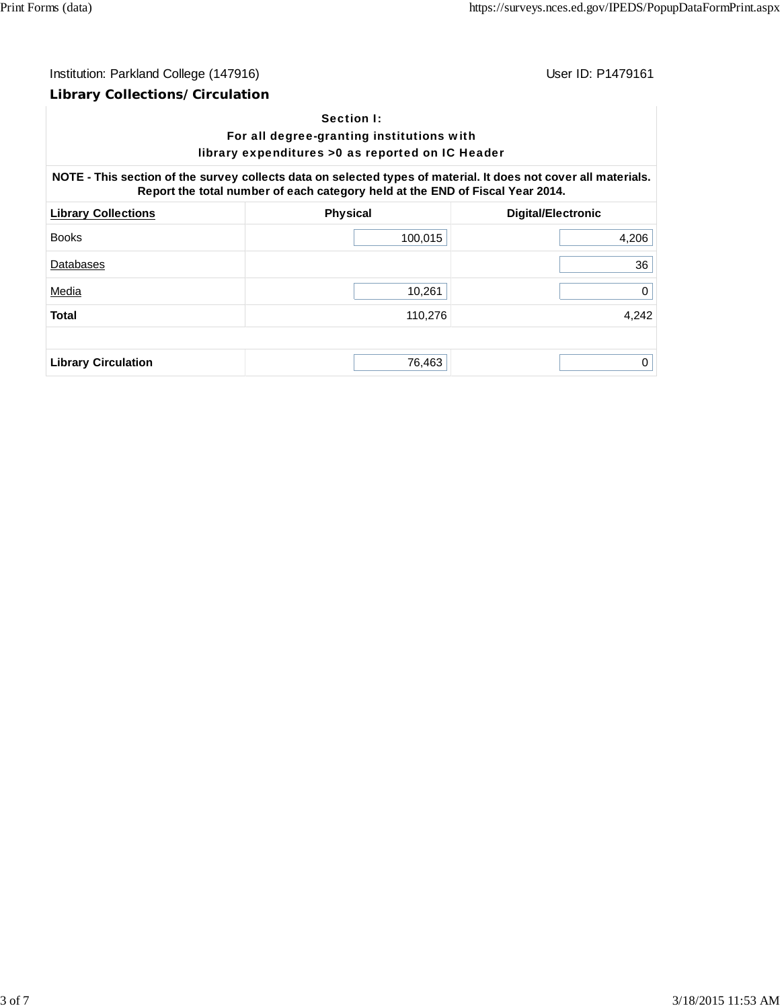# Institution: Parkland College (147916) Contract College (147916)

### **Library Collections/Circulation**

### Section I:

### For all degree-granting institutions with library expenditures >0 as reported on IC Header

**NOTE - This section of the survey collects data on selected types of material. It does not cover all materials. Report the total number of each category held at the END of Fiscal Year 2014.**

| <b>Library Collections</b> | <b>Physical</b> | <b>Digital/Electronic</b> |
|----------------------------|-----------------|---------------------------|
| <b>Books</b>               | 100,015         | 4,206                     |
| Databases                  |                 | 36                        |
| Media                      | 10,261          | 0                         |
| <b>Total</b>               | 110,276         | 4,242                     |
|                            |                 |                           |
| <b>Library Circulation</b> | 76,463          | 0                         |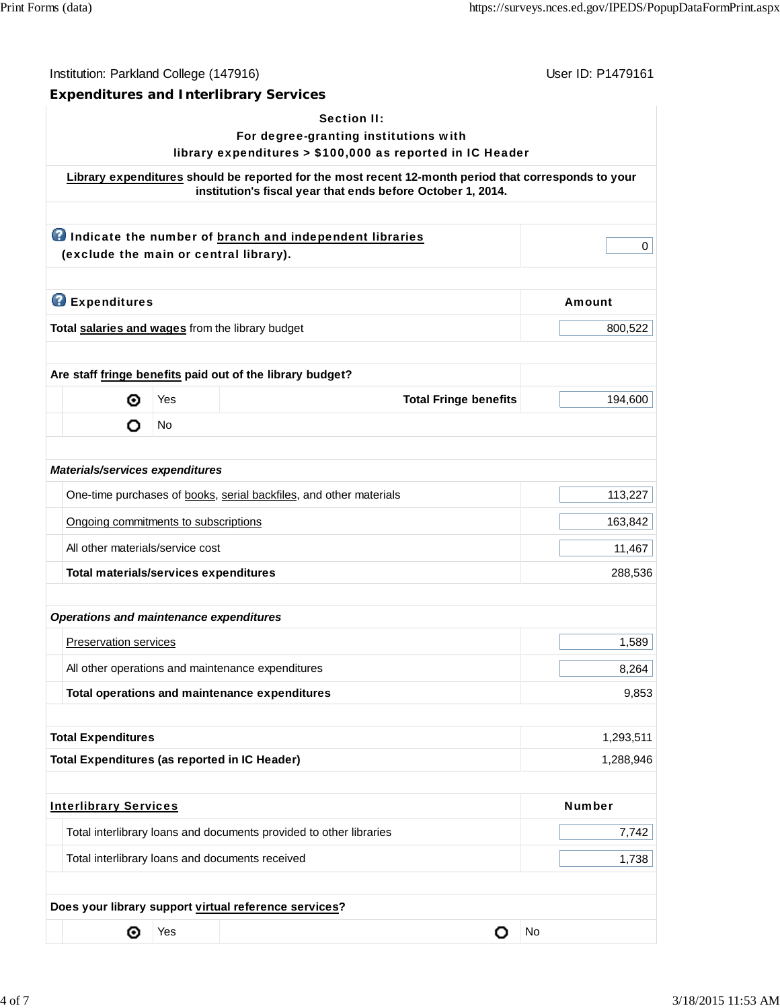| Institution: Parkland College (147916)               |     |                                                                                                                                                                     | User ID: P1479161 |
|------------------------------------------------------|-----|---------------------------------------------------------------------------------------------------------------------------------------------------------------------|-------------------|
|                                                      |     | <b>Expenditures and Interlibrary Services</b>                                                                                                                       |                   |
|                                                      |     | <b>Section II:</b><br>For degree-granting institutions with                                                                                                         |                   |
|                                                      |     | library expenditures > \$100,000 as reported in IC Header                                                                                                           |                   |
|                                                      |     | Library expenditures should be reported for the most recent 12-month period that corresponds to your<br>institution's fiscal year that ends before October 1, 2014. |                   |
|                                                      |     |                                                                                                                                                                     |                   |
|                                                      |     | <b>O</b> Indicate the number of branch and independent libraries                                                                                                    | 0                 |
| (exclude the main or central library).               |     |                                                                                                                                                                     |                   |
| <b>B</b> Expenditures                                |     |                                                                                                                                                                     | Amount            |
| Total salaries and wages from the library budget     |     |                                                                                                                                                                     | 800,522           |
|                                                      |     |                                                                                                                                                                     |                   |
|                                                      |     | Are staff fringe benefits paid out of the library budget?                                                                                                           |                   |
| ◉                                                    | Yes | <b>Total Fringe benefits</b>                                                                                                                                        | 194,600           |
| O                                                    | No  |                                                                                                                                                                     |                   |
|                                                      |     |                                                                                                                                                                     |                   |
| Materials/services expenditures                      |     |                                                                                                                                                                     |                   |
|                                                      |     | One-time purchases of books, serial backfiles, and other materials                                                                                                  | 113,227           |
| Ongoing commitments to subscriptions                 |     |                                                                                                                                                                     | 163,842           |
| All other materials/service cost                     |     |                                                                                                                                                                     | 11,467            |
| Total materials/services expenditures                |     |                                                                                                                                                                     | 288,536           |
|                                                      |     |                                                                                                                                                                     |                   |
| <b>Operations and maintenance expenditures</b>       |     |                                                                                                                                                                     |                   |
| Preservation services                                |     |                                                                                                                                                                     | 1,589             |
|                                                      |     | All other operations and maintenance expenditures                                                                                                                   | 8,264             |
|                                                      |     | Total operations and maintenance expenditures                                                                                                                       | 9,853             |
|                                                      |     |                                                                                                                                                                     |                   |
| <b>Total Expenditures</b>                            |     |                                                                                                                                                                     | 1,293,511         |
| <b>Total Expenditures (as reported in IC Header)</b> |     |                                                                                                                                                                     | 1,288,946         |
| <b>Interlibrary Services</b>                         |     |                                                                                                                                                                     | <b>Number</b>     |
|                                                      |     |                                                                                                                                                                     |                   |
|                                                      |     | Total interlibrary loans and documents provided to other libraries                                                                                                  | 7,742             |
|                                                      |     | Total interlibrary loans and documents received                                                                                                                     | 1,738             |
|                                                      |     |                                                                                                                                                                     |                   |
|                                                      |     | Does your library support virtual reference services?                                                                                                               |                   |
| ⊚                                                    | Yes | о                                                                                                                                                                   | No                |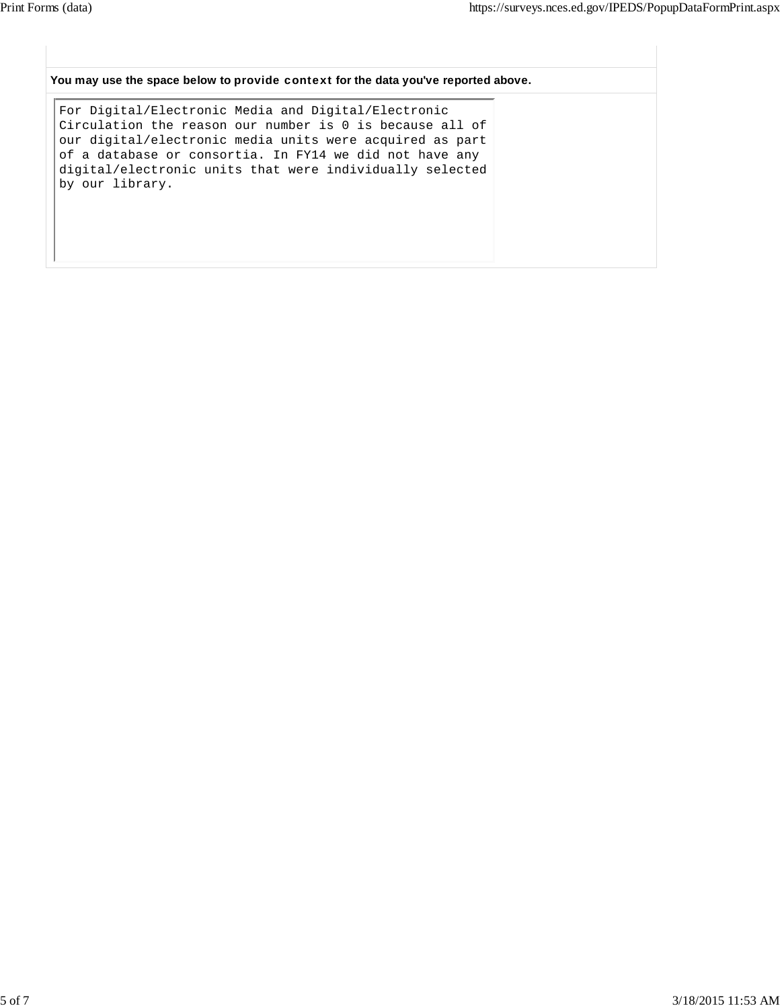#### **You may use the space below to** provide context **for the data you've reported above.**

For Digital/Electronic Media and Digital/Electronic Circulation the reason our number is 0 is because all of our digital/electronic media units were acquired as part of a database or consortia. In FY14 we did not have any digital/electronic units that were individually selected by our library.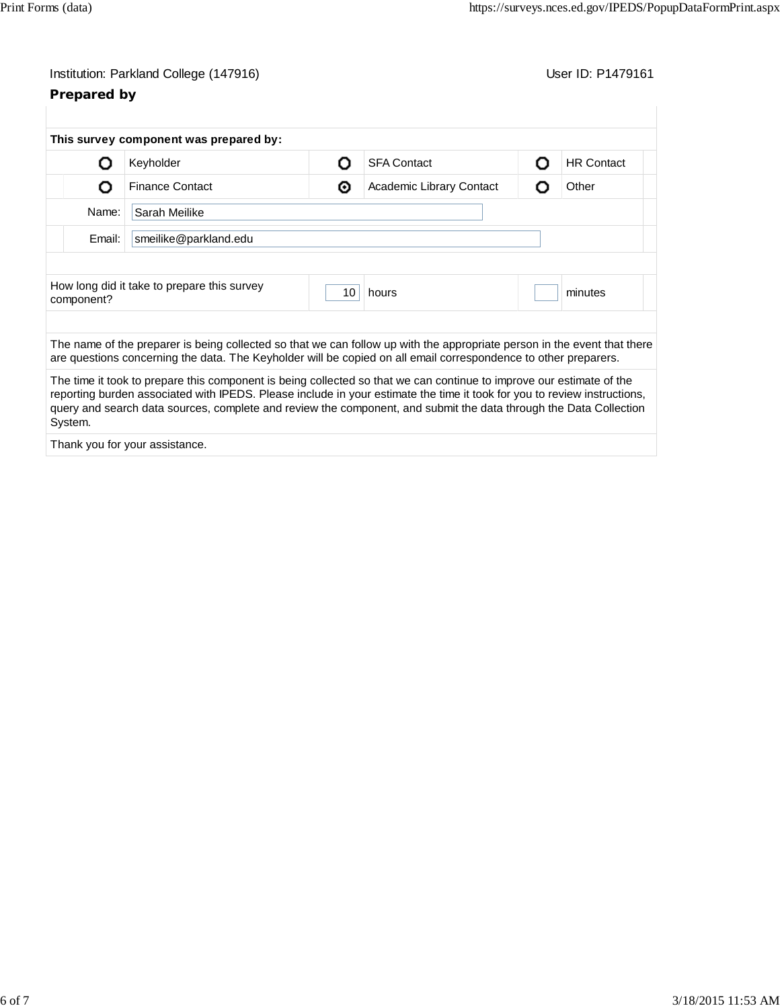# Institution: Parkland College (147916) Contract College (147916)

# **Prepared by**

| Ω          | Keyholder                                                                                                                                                                                                                                                                                                                                                             | O  | <b>SFA Contact</b>       | Ο | <b>HR Contact</b> |
|------------|-----------------------------------------------------------------------------------------------------------------------------------------------------------------------------------------------------------------------------------------------------------------------------------------------------------------------------------------------------------------------|----|--------------------------|---|-------------------|
| O          | <b>Finance Contact</b>                                                                                                                                                                                                                                                                                                                                                | ◉  | Academic Library Contact | റ | Other             |
| Name:      | Sarah Meilike                                                                                                                                                                                                                                                                                                                                                         |    |                          |   |                   |
| Email:     | smeilike@parkland.edu                                                                                                                                                                                                                                                                                                                                                 |    |                          |   |                   |
|            | How long did it take to prepare this survey                                                                                                                                                                                                                                                                                                                           | 10 | hours                    |   | minutes           |
| component? |                                                                                                                                                                                                                                                                                                                                                                       |    |                          |   |                   |
|            | The name of the preparer is being collected so that we can follow up with the appropriate person in the event that there<br>are questions concerning the data. The Keyholder will be copied on all email correspondence to other preparers.                                                                                                                           |    |                          |   |                   |
| System.    | The time it took to prepare this component is being collected so that we can continue to improve our estimate of the<br>reporting burden associated with IPEDS. Please include in your estimate the time it took for you to review instructions,<br>query and search data sources, complete and review the component, and submit the data through the Data Collection |    |                          |   |                   |